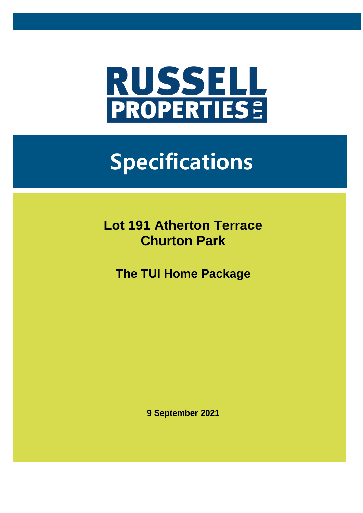

# **Specifications**

**Lot 191 Atherton Terrace Churton Park**

**The TUI Home Package**

**9 September 2021**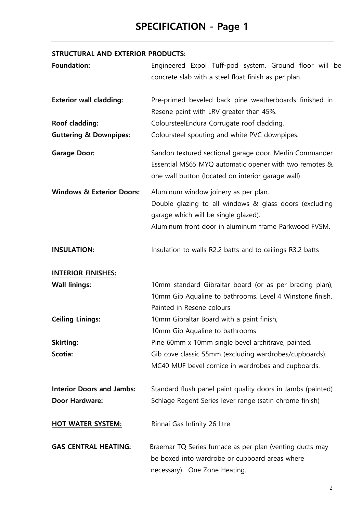## **SPECIFICATION - Page 1**

#### **STRUCTURAL AND EXTERIOR PRODUCTS:**

| <b>Foundation:</b>                   | Engineered Expol Tuff-pod system. Ground floor will be<br>concrete slab with a steel float finish as per plan.                                                                                 |
|--------------------------------------|------------------------------------------------------------------------------------------------------------------------------------------------------------------------------------------------|
| <b>Exterior wall cladding:</b>       | Pre-primed beveled back pine weatherboards finished in<br>Resene paint with LRV greater than 45%.                                                                                              |
| Roof cladding:                       | ColoursteelEndura Corrugate roof cladding.                                                                                                                                                     |
| <b>Guttering &amp; Downpipes:</b>    | Coloursteel spouting and white PVC downpipes.                                                                                                                                                  |
| <b>Garage Door:</b>                  | Sandon textured sectional garage door. Merlin Commander<br>Essential MS65 MYQ automatic opener with two remotes &<br>one wall button (located on interior garage wall)                         |
| <b>Windows &amp; Exterior Doors:</b> | Aluminum window joinery as per plan.<br>Double glazing to all windows & glass doors (excluding<br>garage which will be single glazed).<br>Aluminum front door in aluminum frame Parkwood FVSM. |
| <b>INSULATION:</b>                   | Insulation to walls R2.2 batts and to ceilings R3.2 batts                                                                                                                                      |
| <b>INTERIOR FINISHES:</b>            |                                                                                                                                                                                                |
| <b>Wall linings:</b>                 | 10mm standard Gibraltar board (or as per bracing plan),<br>10mm Gib Aqualine to bathrooms. Level 4 Winstone finish.<br>Painted in Resene colours                                               |
| <b>Ceiling Linings:</b>              | 10mm Gibraltar Board with a paint finish,<br>10mm Gib Aqualine to bathrooms                                                                                                                    |
| <b>Skirting:</b>                     | Pine 60mm x 10mm single bevel architrave, painted.                                                                                                                                             |
| Scotia:                              | Gib cove classic 55mm (excluding wardrobes/cupboards).<br>MC40 MUF bevel cornice in wardrobes and cupboards.                                                                                   |
| <b>Interior Doors and Jambs:</b>     | Standard flush panel paint quality doors in Jambs (painted)                                                                                                                                    |
| <b>Door Hardware:</b>                | Schlage Regent Series lever range (satin chrome finish)                                                                                                                                        |
| <b>HOT WATER SYSTEM:</b>             | Rinnai Gas Infinity 26 litre                                                                                                                                                                   |
| <b>GAS CENTRAL HEATING:</b>          | Braemar TQ Series furnace as per plan (venting ducts may<br>be boxed into wardrobe or cupboard areas where<br>necessary). One Zone Heating.                                                    |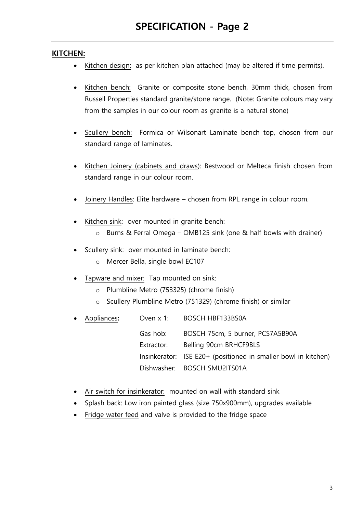#### **KITCHEN:**

- Kitchen design: as per kitchen plan attached (may be altered if time permits).
- Kitchen bench: Granite or composite stone bench, 30mm thick, chosen from Russell Properties standard granite/stone range. (Note: Granite colours may vary from the samples in our colour room as granite is a natural stone)
- Scullery bench: Formica or Wilsonart Laminate bench top, chosen from our standard range of laminates.
- Kitchen Joinery (cabinets and draws): Bestwood or Melteca finish chosen from standard range in our colour room.
- Joinery Handles: Elite hardware chosen from RPL range in colour room.
- Kitchen sink: over mounted in granite bench:
	- o Burns & Ferral Omega OMB125 sink (one & half bowls with drainer)
- Scullery sink: over mounted in laminate bench:
	- o Mercer Bella, single bowl EC107
- Tapware and mixer: Tap mounted on sink:
	- o Plumbline Metro (753325) (chrome finish)
	- o Scullery Plumbline Metro (751329) (chrome finish) or similar
- Appliances**:** Oven x 1: BOSCH HBF133BS0A Gas hob: BOSCH 75cm, 5 burner, PCS7A5B90A Extractor: Belling 90cm BRHCF9BLS Insinkerator: ISE E20+ (positioned in smaller bowl in kitchen) Dishwasher: BOSCH SMU2ITS01A
- Air switch for insinkerator: mounted on wall with standard sink
- Splash back: Low iron painted glass (size 750x900mm), upgrades available
- Fridge water feed and valve is provided to the fridge space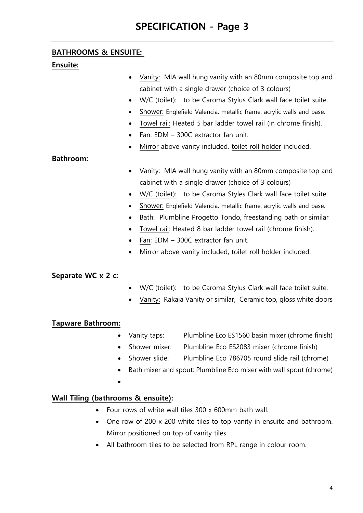#### **BATHROOMS & ENSUITE:**

#### **Ensuite:**

- Vanity: MIA wall hung vanity with an 80mm composite top and cabinet with a single drawer (choice of 3 colours)
- W/C (toilet): to be Caroma Stylus Clark wall face toilet suite.
- Shower: Englefield Valencia, metallic frame, acrylic walls and base.
- Towel rail: Heated 5 bar ladder towel rail (in chrome finish).
- Fan: EDM 300C extractor fan unit.
- Mirror above vanity included, toilet roll holder included.

#### **Bathroom:**

- Vanity: MIA wall hung vanity with an 80mm composite top and cabinet with a single drawer (choice of 3 colours)
- W/C (toilet): to be Caroma Styles Clark wall face toilet suite.
- Shower: Englefield Valencia, metallic frame, acrylic walls and base.
- Bath: Plumbline Progetto Tondo, freestanding bath or similar
- Towel rail: Heated 8 bar ladder towel rail (chrome finish).
- Fan: EDM 300C extractor fan unit.
- Mirror above vanity included, toilet roll holder included.

#### **Separate WC x 2 c:**

- W/C (toilet): to be Caroma Stylus Clark wall face toilet suite.
- Vanity: Rakaia Vanity or similar, Ceramic top, gloss white doors

#### **Tapware Bathroom:**

- Vanity taps: Plumbline Eco ES1560 basin mixer (chrome finish)
- Shower mixer: Plumbline Eco ES2083 mixer (chrome finish)
- Shower slide: Plumbline Eco 786705 round slide rail (chrome)
- Bath mixer and spout: Plumbline Eco mixer with wall spout (chrome)
- •

#### **Wall Tiling (bathrooms & ensuite):**

- Four rows of white wall tiles 300 x 600mm bath wall.
- One row of 200 x 200 white tiles to top vanity in ensuite and bathroom. Mirror positioned on top of vanity tiles.
- All bathroom tiles to be selected from RPL range in colour room.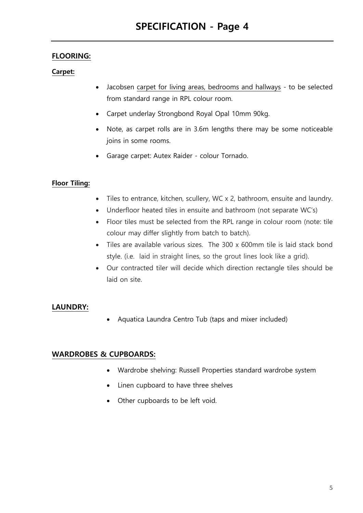#### **FLOORING:**

#### **Carpet:**

- Jacobsen carpet for living areas, bedrooms and hallways to be selected from standard range in RPL colour room.
- Carpet underlay Strongbond Royal Opal 10mm 90kg.
- Note, as carpet rolls are in 3.6m lengths there may be some noticeable joins in some rooms.
- Garage carpet: Autex Raider colour Tornado.

#### **Floor Tiling:**

- Tiles to entrance, kitchen, scullery, WC x 2, bathroom, ensuite and laundry.
- Underfloor heated tiles in ensuite and bathroom (not separate WC's)
- Floor tiles must be selected from the RPL range in colour room (note: tile colour may differ slightly from batch to batch).
- Tiles are available various sizes. The 300 x 600mm tile is laid stack bond style. (i.e. laid in straight lines, so the grout lines look like a grid).
- Our contracted tiler will decide which direction rectangle tiles should be laid on site.

#### **LAUNDRY:**

• Aquatica Laundra Centro Tub (taps and mixer included)

#### **WARDROBES & CUPBOARDS:**

- Wardrobe shelving: Russell Properties standard wardrobe system
- Linen cupboard to have three shelves
- Other cupboards to be left void.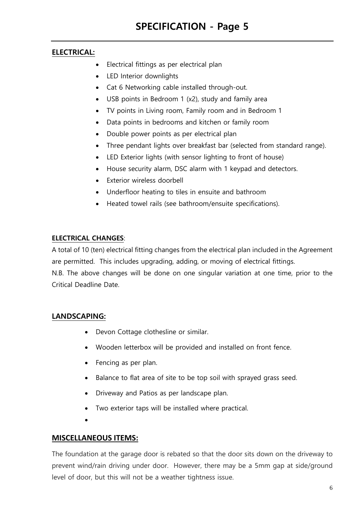#### **ELECTRICAL:**

- Electrical fittings as per electrical plan
- LED Interior downlights
- Cat 6 Networking cable installed through-out.
- USB points in Bedroom 1 (x2), study and family area
- TV points in Living room, Family room and in Bedroom 1
- Data points in bedrooms and kitchen or family room
- Double power points as per electrical plan
- Three pendant lights over breakfast bar (selected from standard range).
- LED Exterior lights (with sensor lighting to front of house)
- House security alarm, DSC alarm with 1 keypad and detectors.
- Exterior wireless doorbell
- Underfloor heating to tiles in ensuite and bathroom
- Heated towel rails (see bathroom/ensuite specifications).

#### **ELECTRICAL CHANGES**:

A total of 10 (ten) electrical fitting changes from the electrical plan included in the Agreement are permitted. This includes upgrading, adding, or moving of electrical fittings. N.B. The above changes will be done on one singular variation at one time, prior to the Critical Deadline Date.

#### **LANDSCAPING:**

- Devon Cottage clothesline or similar.
- Wooden letterbox will be provided and installed on front fence.
- Fencing as per plan.
- Balance to flat area of site to be top soil with sprayed grass seed.
- Driveway and Patios as per landscape plan.
- Two exterior taps will be installed where practical.
- •

#### **MISCELLANEOUS ITEMS:**

The foundation at the garage door is rebated so that the door sits down on the driveway to prevent wind/rain driving under door. However, there may be a 5mm gap at side/ground level of door, but this will not be a weather tightness issue.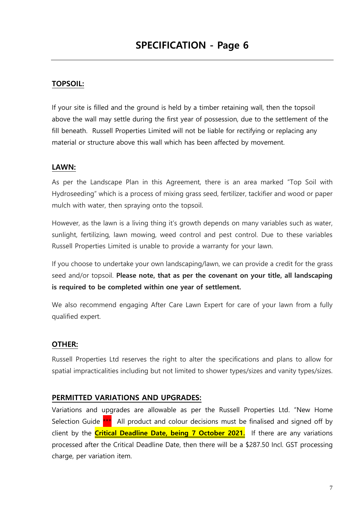#### **TOPSOIL:**

If your site is filled and the ground is held by a timber retaining wall, then the topsoil above the wall may settle during the first year of possession, due to the settlement of the fill beneath. Russell Properties Limited will not be liable for rectifying or replacing any material or structure above this wall which has been affected by movement.

#### **LAWN:**

As per the Landscape Plan in this Agreement, there is an area marked "Top Soil with Hydroseeding" which is a process of mixing grass seed, fertilizer, tackifier and wood or paper mulch with water, then spraying onto the topsoil.

However, as the lawn is a living thing it's growth depends on many variables such as water, sunlight, fertilizing, lawn mowing, weed control and pest control. Due to these variables Russell Properties Limited is unable to provide a warranty for your lawn.

If you choose to undertake your own landscaping/lawn, we can provide a credit for the grass seed and/or topsoil. **Please note, that as per the covenant on your title, all landscaping is required to be completed within one year of settlement.**

We also recommend engaging After Care Lawn Expert for care of your lawn from a fully qualified expert.

#### **OTHER:**

Russell Properties Ltd reserves the right to alter the specifications and plans to allow for spatial impracticalities including but not limited to shower types/sizes and vanity types/sizes.

#### **PERMITTED VARIATIONS AND UPGRADES:**

Variations and upgrades are allowable as per the Russell Properties Ltd. "New Home Selection Guide \*\*\* All product and colour decisions must be finalised and signed off by client by the **Critical Deadline Date, being 7 October 2021.** If there are any variations processed after the Critical Deadline Date, then there will be a \$287.50 Incl. GST processing charge, per variation item.